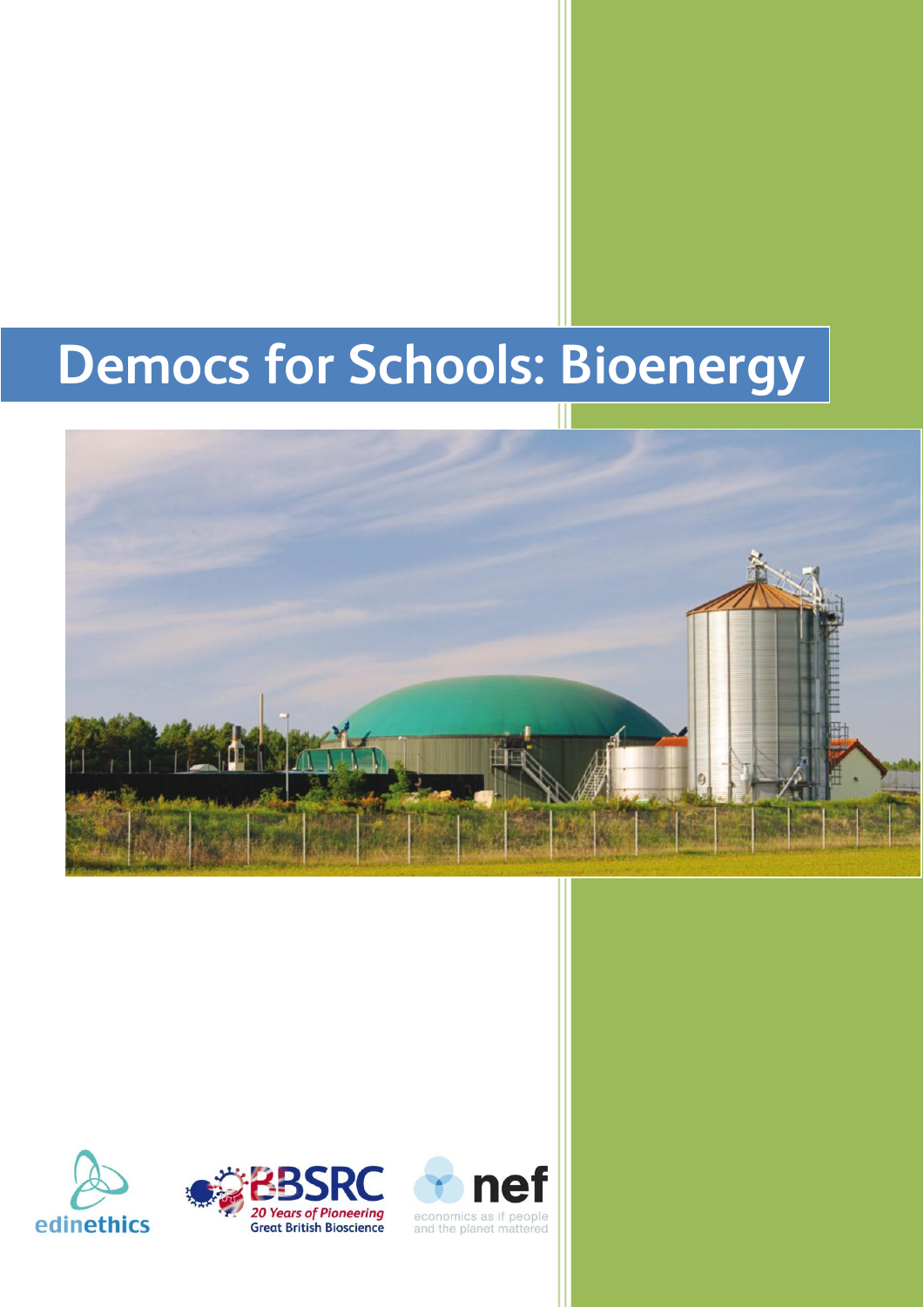# **Democs for Schools: Bioenergy**







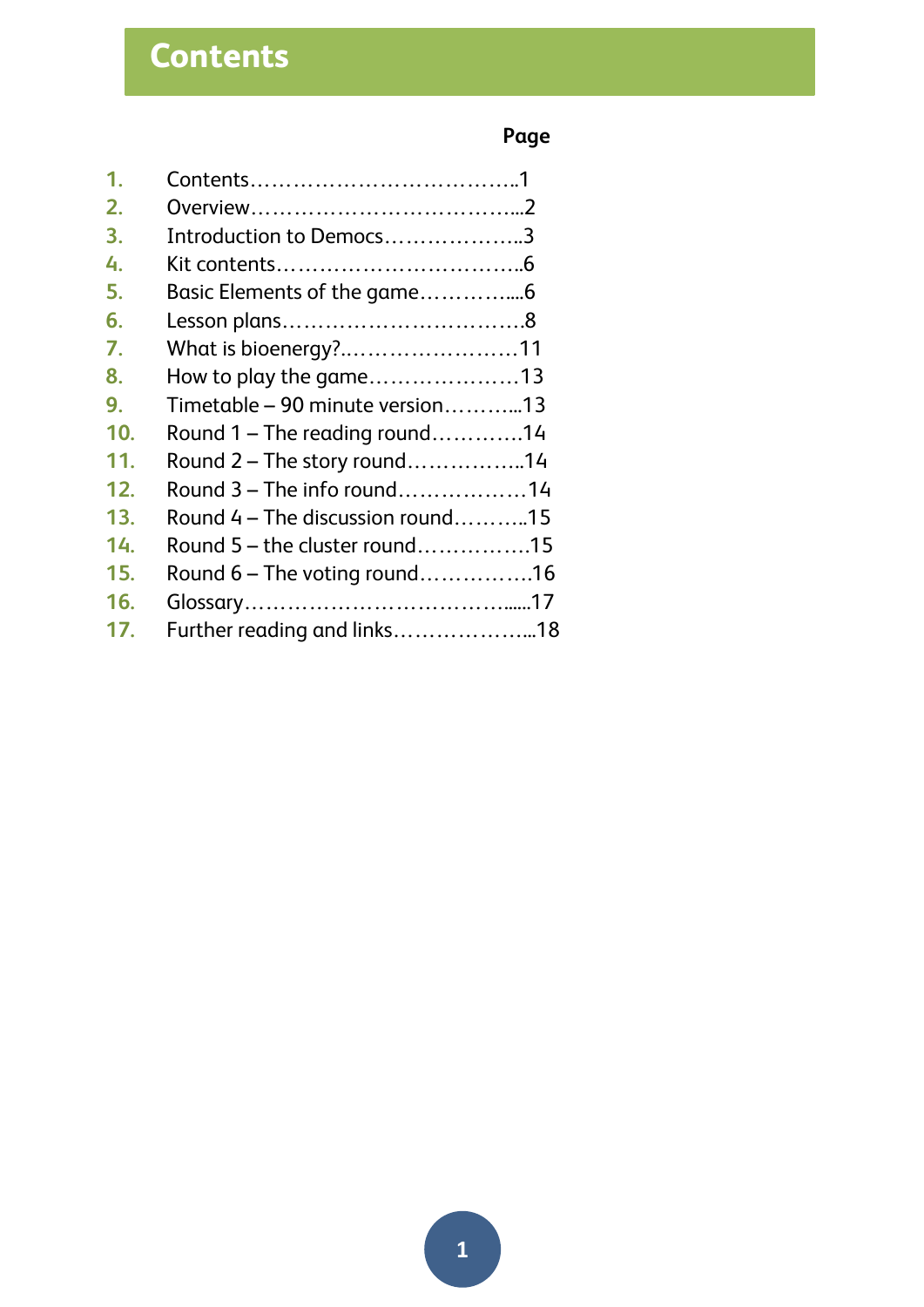## **Page**

| 1.  |                                  |  |
|-----|----------------------------------|--|
| 2.  |                                  |  |
| 3.  | Introduction to Democs3          |  |
| 4.  |                                  |  |
| 5.  |                                  |  |
| 6.  |                                  |  |
| 7.  | What is bioenergy?11             |  |
| 8.  | How to play the game13           |  |
| 9.  | Timetable - 90 minute version13  |  |
| 10. | Round $1$ – The reading round14  |  |
| 11. | Round 2 - The story round14      |  |
| 12. | Round 3 – The info round14       |  |
| 13. | Round 4 – The discussion round15 |  |
| 14. | Round 5 - the cluster round15    |  |
| 15. | Round $6$ – The voting round16   |  |
| 16. |                                  |  |
| 17. | Further reading and links18      |  |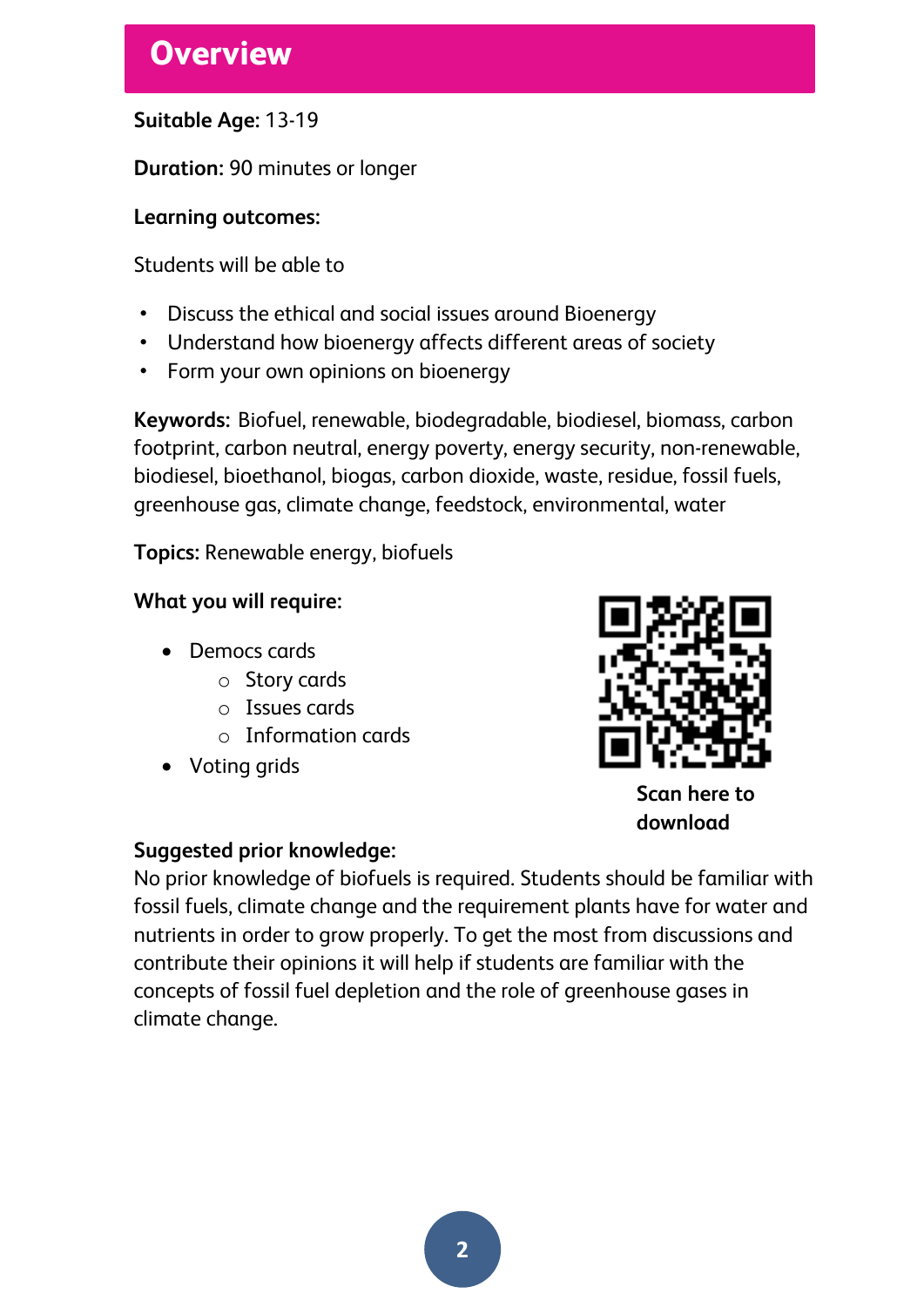# **Overview**

### **Suitable Age:** 13-19

**Duration:** 90 minutes or longer

### **Learning outcomes:**

Students will be able to

- Discuss the ethical and social issues around Bioenergy
- Understand how bioenergy affects different areas of society
- Form your own opinions on bioenergy

**Keywords:** Biofuel, renewable, biodegradable, biodiesel, biomass, carbon footprint, carbon neutral, energy poverty, energy security, non-renewable, biodiesel, bioethanol, biogas, carbon dioxide, waste, residue, fossil fuels, greenhouse gas, climate change, feedstock, environmental, water

**Topics:** Renewable energy, biofuels

### **What you will require:**

- Democs cards
	- o Story cards
	- o Issues cards
	- o Information cards
- Voting grids



**Scan here to download** 

### **Suggested prior knowledge:**

No prior knowledge of biofuels is required. Students should be familiar with fossil fuels, climate change and the requirement plants have for water and nutrients in order to grow properly. To get the most from discussions and contribute their opinions it will help if students are familiar with the concepts of fossil fuel depletion and the role of greenhouse gases in climate change.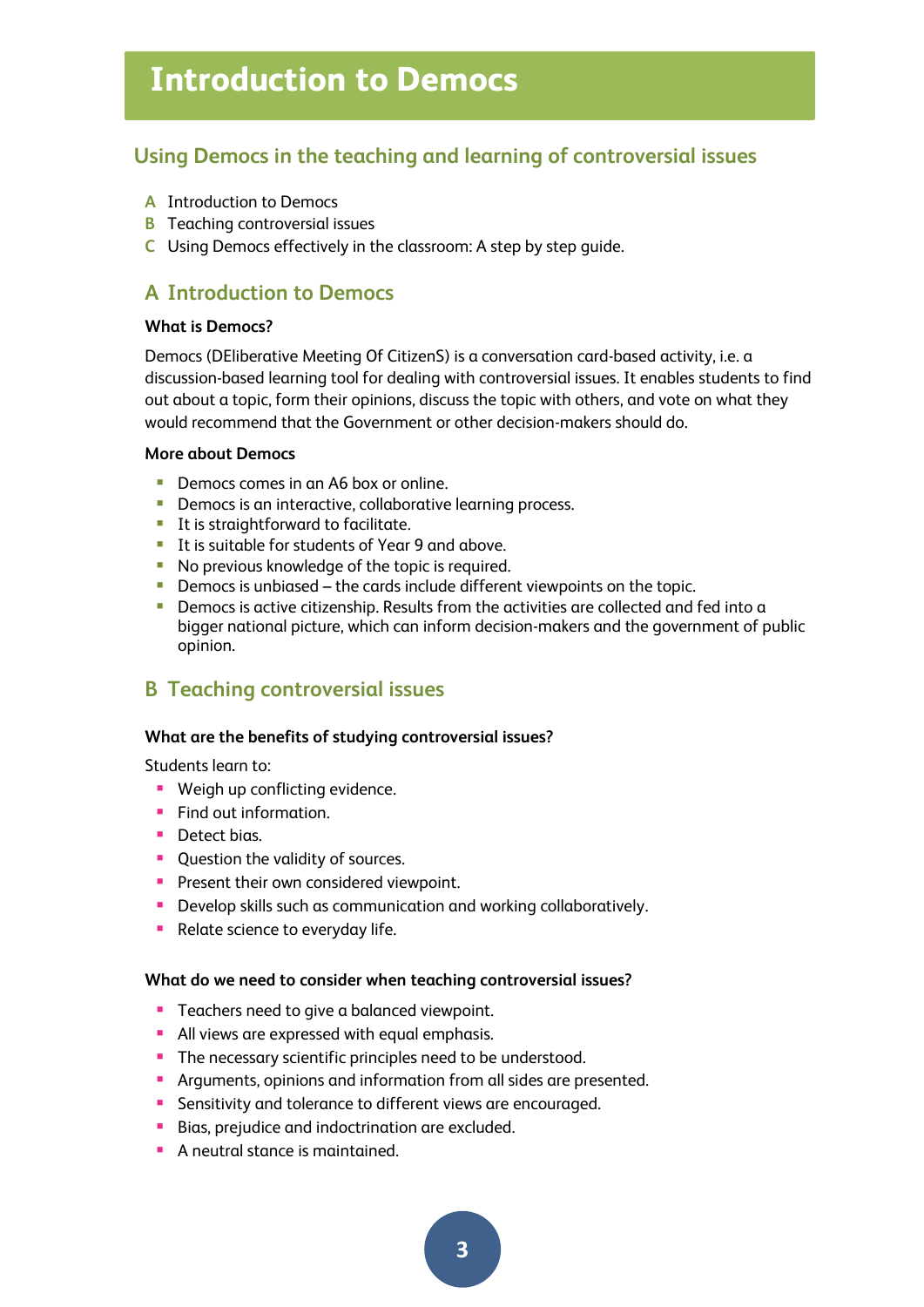# **Introduction to Democs**

### **Using Democs in the teaching and learning of controversial issues**

- **A** Introduction to Democs
- **B** Teaching controversial issues
- **C** Using Democs effectively in the classroom: A step by step guide.

### **A Introduction to Democs**

#### **What is Democs?**

Democs (DEliberative Meeting Of CitizenS) is a conversation card-based activity, i.e. a discussion-based learning tool for dealing with controversial issues. It enables students to find out about a topic, form their opinions, discuss the topic with others, and vote on what they would recommend that the Government or other decision-makers should do.

#### **More about Democs**

- Democs comes in an A6 box or online.
- **Democs is an interactive, collaborative learning process.**
- It is straightforward to facilitate.
- It is suitable for students of Year 9 and above.
- No previous knowledge of the topic is required.
- Democs is unbiased the cards include different viewpoints on the topic.
- **•** Democs is active citizenship. Results from the activities are collected and fed into a bigger national picture, which can inform decision-makers and the government of public opinion.

### **B Teaching controversial issues**

#### **What are the benefits of studying controversial issues?**

Students learn to:

- **Weigh up conflicting evidence.**
- **Find out information.**
- **Detect bias.**
- Ouestion the validity of sources.
- **Present their own considered viewpoint.**
- **Develop skills such as communication and working collaboratively.**
- **Relate science to everyday life.**

#### **What do we need to consider when teaching controversial issues?**

- **Teachers need to give a balanced viewpoint.**
- **All views are expressed with equal emphasis.**
- **The necessary scientific principles need to be understood.**
- Arguments, opinions and information from all sides are presented.
- **Sensitivity and tolerance to different views are encouraged.**
- Bias, prejudice and indoctrination are excluded.
- **A** neutral stance is maintained.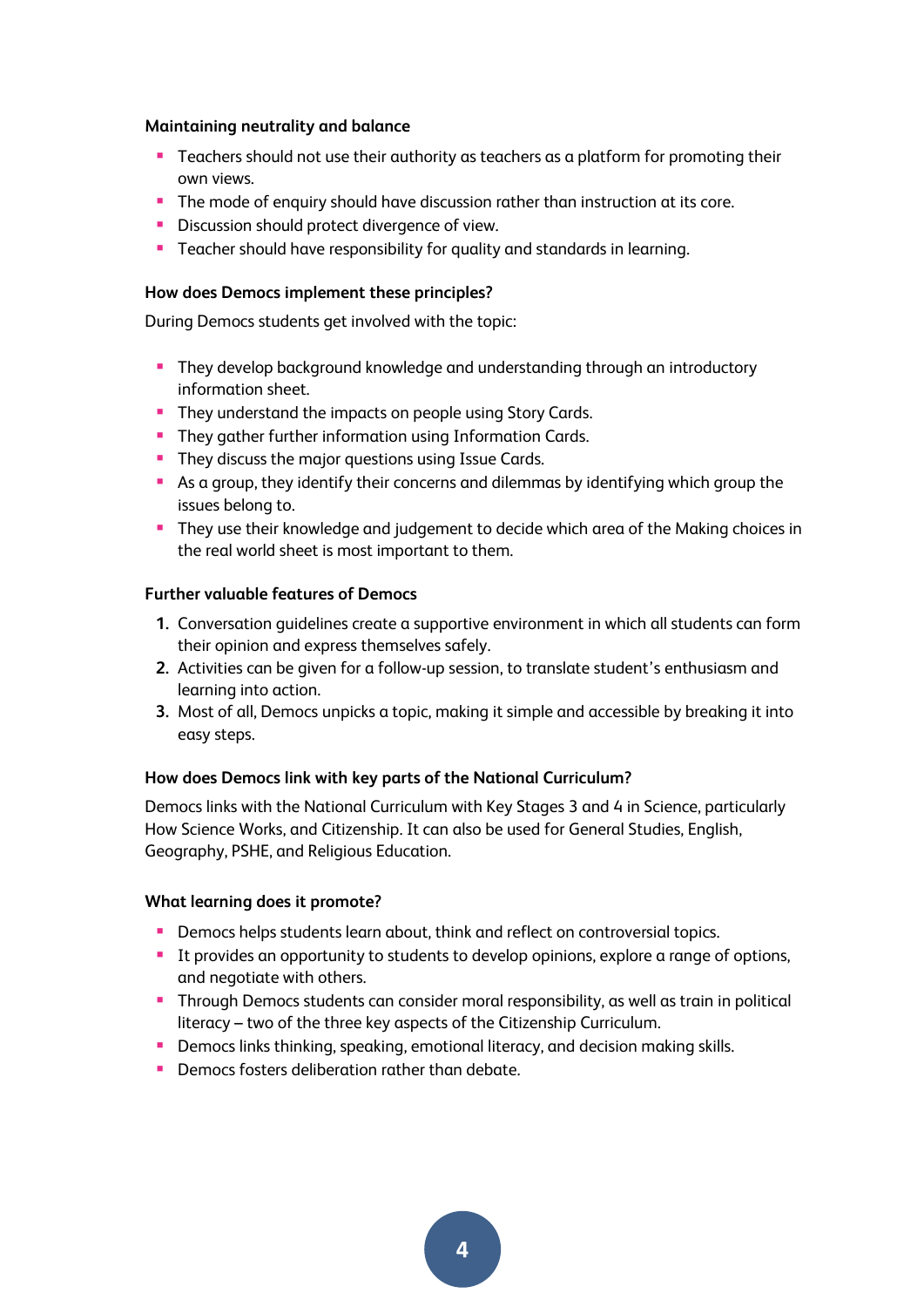#### **Maintaining neutrality and balance**

- **Teachers should not use their authority as teachers as a platform for promoting their** own views.
- The mode of enquiry should have discussion rather than instruction at its core.
- **Discussion should protect divergence of view.**
- **Teacher should have responsibility for quality and standards in learning.**

#### **How does Democs implement these principles?**

During Democs students get involved with the topic:

- **They develop background knowledge and understanding through an introductory** information sheet.
- **They understand the impacts on people using Story Cards.**
- **They gather further information using Information Cards.**
- **They discuss the major questions using Issue Cards.**
- As a group, they identify their concerns and dilemmas by identifying which group the issues belong to.
- **They use their knowledge and judgement to decide which area of the Making choices in** the real world sheet is most important to them.

#### **Further valuable features of Democs**

- **1.** Conversation guidelines create a supportive environment in which all students can form their opinion and express themselves safely.
- **2.** Activities can be given for a follow-up session, to translate student's enthusiasm and learning into action.
- **3.** Most of all, Democs unpicks a topic, making it simple and accessible by breaking it into easy steps.

#### **How does Democs link with key parts of the National Curriculum?**

Democs links with the National Curriculum with Key Stages 3 and 4 in Science, particularly How Science Works, and Citizenship. It can also be used for General Studies, English, Geography, PSHE, and Religious Education.

#### **What learning does it promote?**

- **Democs helps students learn about, think and reflect on controversial topics.**
- It provides an opportunity to students to develop opinions, explore a range of options, and negotiate with others.
- Through Democs students can consider moral responsibility, as well as train in political literacy – two of the three key aspects of the Citizenship Curriculum.
- **Democs links thinking, speaking, emotional literacy, and decision making skills.**
- **P** Democs fosters deliberation rather than debate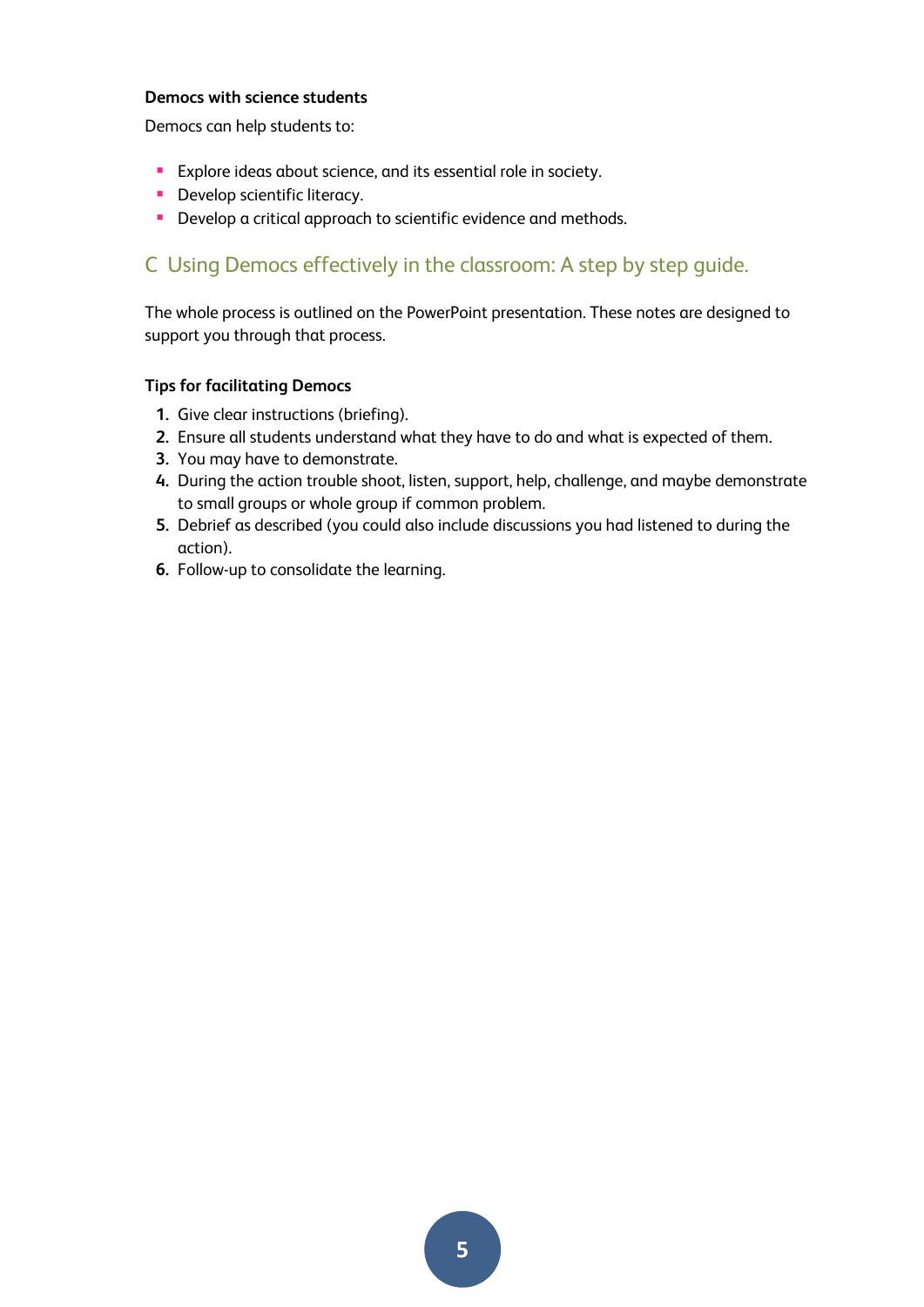#### **Democs with science students**

Democs can help students to:

- **Explore ideas about science, and its essential role in society.**
- **Develop scientific literacy.**
- **Develop a critical approach to scientific evidence and methods.**

### C Using Democs effectively in the classroom: A step by step guide.

The whole process is outlined on the PowerPoint presentation. These notes are designed to support you through that process.

#### **Tips for facilitating Democs**

- **1.** Give clear instructions (briefing).
- **2.** Ensure all students understand what they have to do and what is expected of them.
- **3.** You may have to demonstrate.
- **4.** During the action trouble shoot, listen, support, help, challenge, and maybe demonstrate to small groups or whole group if common problem.
- **5.** Debrief as described (you could also include discussions you had listened to during the action).
- **6.** Follow-up to consolidate the learning.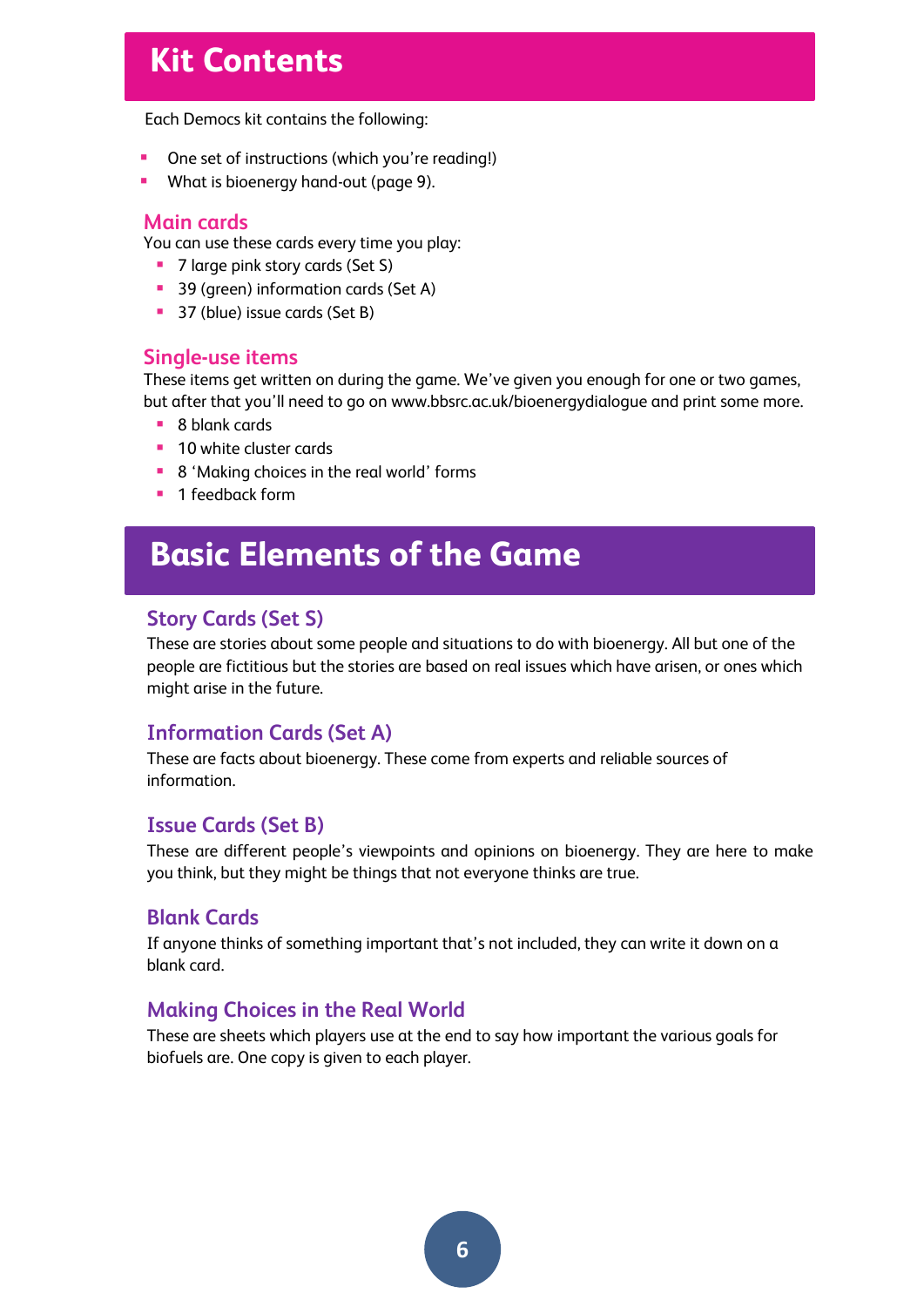# **Kit Contents**

Each Democs kit contains the following:

- One set of instructions (which you're reading!)
- **What is bioenergy hand-out (page 9).**

#### **Main cards**

You can use these cards every time you play:

- 7 large pink story cards (Set S)
- **39 (green) information cards (Set A)**
- 37 (blue) issue cards (Set B)

#### **Single-use items**

These items get written on during the game. We've given you enough for one or two games, but after that you'll need to go on [www.bbsrc.ac.uk/bioenergydialogue](http://www.bbsrc.ac.uk/bioenergydialogue) and print some more.

- 8 blank cards
- **10 white cluster cards**
- 8 'Making choices in the real world' forms
- $\blacksquare$  1 feedback form

# **Basic Elements of the Game**

#### **Story Cards (Set S)**

These are stories about some people and situations to do with bioenergy. All but one of the people are fictitious but the stories are based on real issues which have arisen, or ones which might arise in the future.

### **Information Cards (Set A)**

These are facts about bioenergy. These come from experts and reliable sources of information.

#### **Issue Cards (Set B)**

These are different people's viewpoints and opinions on bioenergy. They are here to make you think, but they might be things that not everyone thinks are true.

#### **Blank Cards**

If anyone thinks of something important that's not included, they can write it down on a blank card.

#### **Making Choices in the Real World**

These are sheets which players use at the end to say how important the various goals for biofuels are. One copy is given to each player.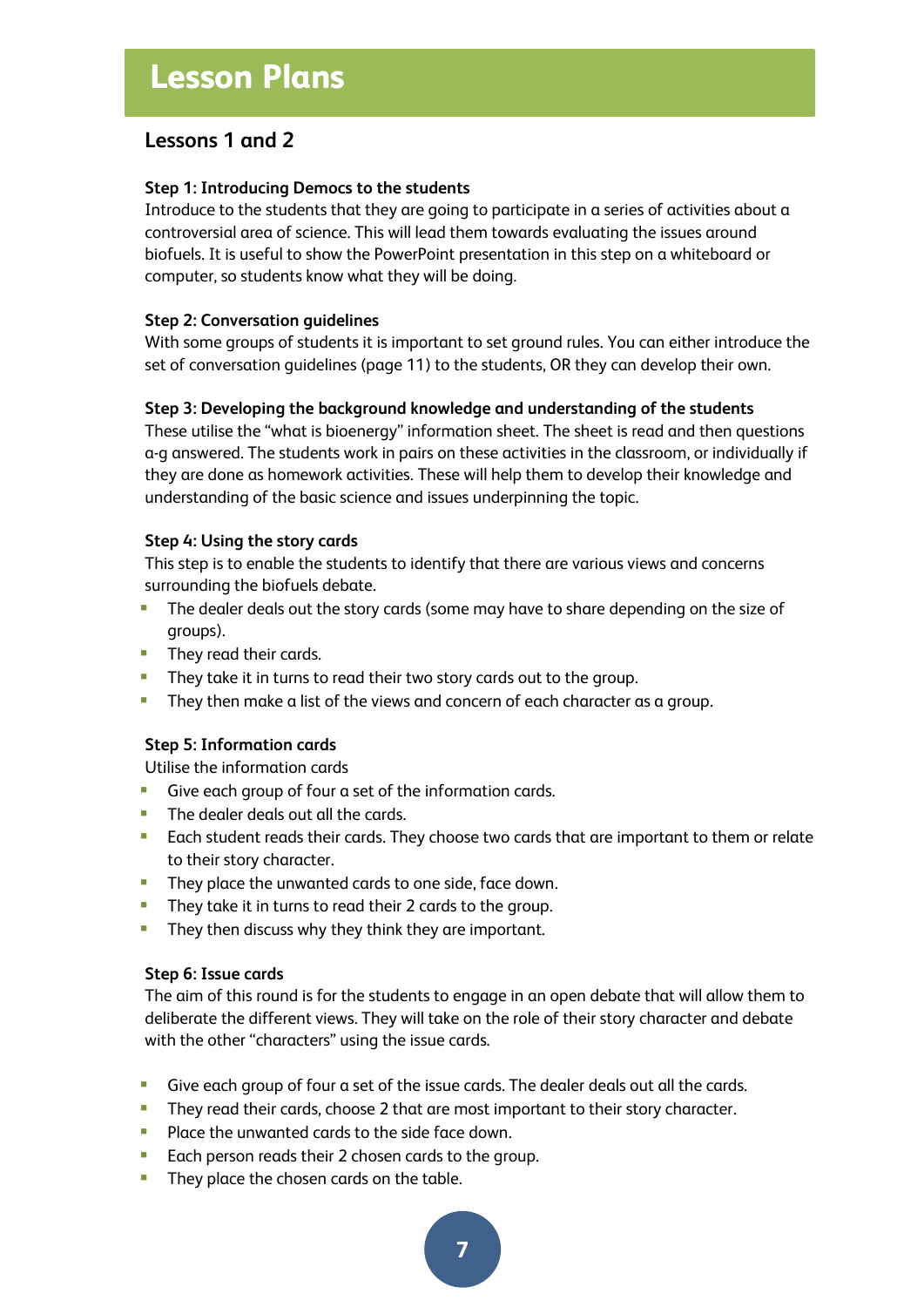### **Lessons 1 and 2**

#### **Step 1: Introducing Democs to the students**

Introduce to the students that they are going to participate in a series of activities about a controversial area of science. This will lead them towards evaluating the issues around biofuels. It is useful to show the PowerPoint presentation in this step on a whiteboard or computer, so students know what they will be doing.

#### **Step 2: Conversation guidelines**

With some groups of students it is important to set ground rules. You can either introduce the set of conversation guidelines (page 11) to the students, OR they can develop their own.

#### **Step 3: Developing the background knowledge and understanding of the students**

These utilise the "what is bioenergy" information sheet. The sheet is read and then questions a-g answered. The students work in pairs on these activities in the classroom, or individually if they are done as homework activities. These will help them to develop their knowledge and understanding of the basic science and issues underpinning the topic.

#### **Step 4: Using the story cards**

This step is to enable the students to identify that there are various views and concerns surrounding the biofuels debate.

- **The dealer deals out the story cards (some may have to share depending on the size of** groups).
- **They read their cards.**
- **They take it in turns to read their two story cards out to the group.**
- **They then make a list of the views and concern of each character as a group.**

#### **Step 5: Information cards**

Utilise the information cards

- Give each group of four a set of the information cards.
- **The dealer deals out all the cards.**
- **Each student reads their cards. They choose two cards that are important to them or relate** to their story character.
- **They place the unwanted cards to one side, face down.**
- **They take it in turns to read their 2 cards to the group.**
- **They then discuss why they think they are important.**

#### **Step 6: Issue cards**

The aim of this round is for the students to engage in an open debate that will allow them to deliberate the different views. They will take on the role of their story character and debate with the other "characters" using the issue cards.

- Give each group of four a set of the issue cards. The dealer deals out all the cards.
- **They read their cards, choose 2 that are most important to their story character.**
- **Place the unwanted cards to the side face down.**
- **Each person reads their 2 chosen cards to the group.**
- **They place the chosen cards on the table.**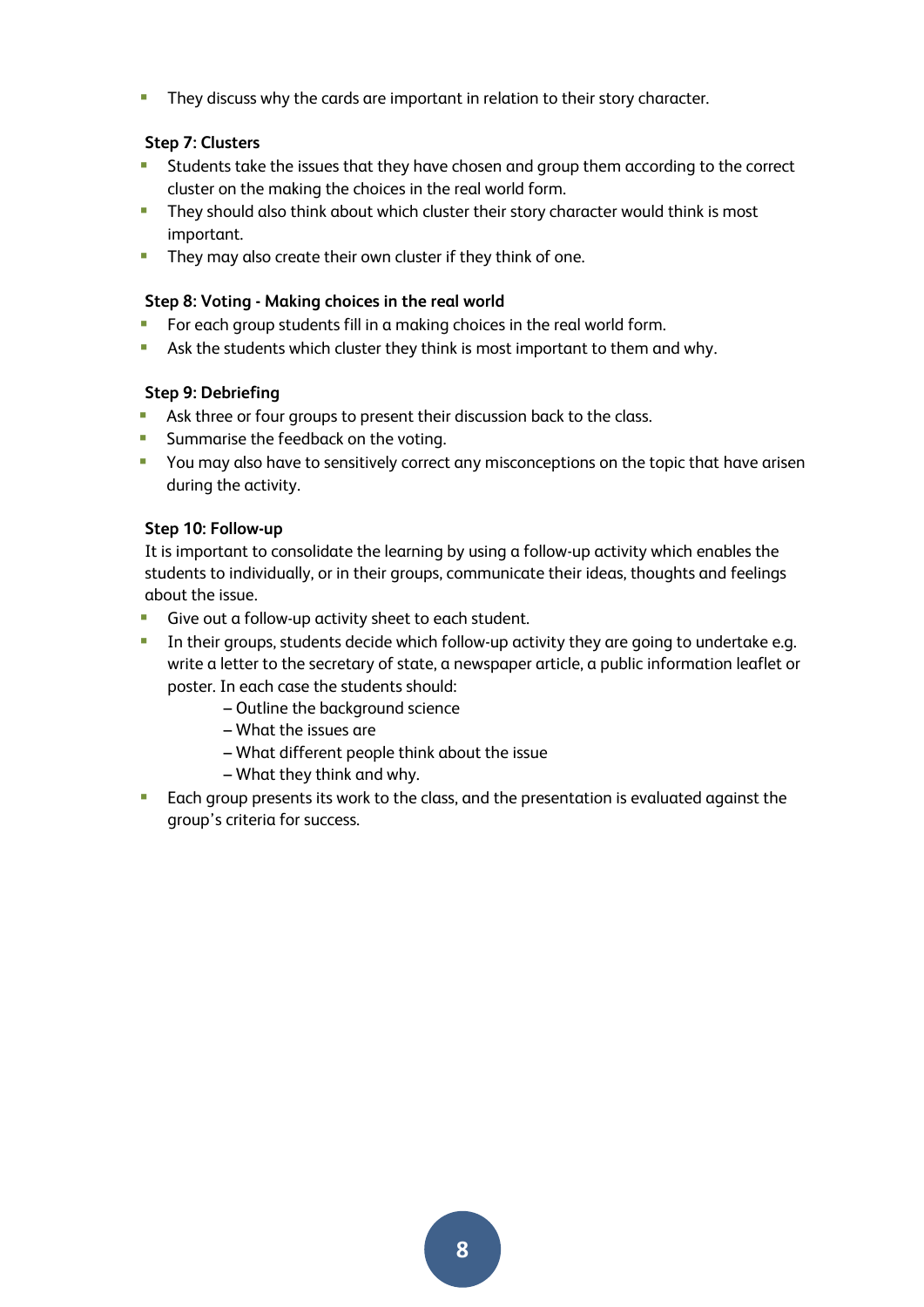**They discuss why the cards are important in relation to their story character.** 

#### **Step 7: Clusters**

- Students take the issues that they have chosen and group them according to the correct cluster on the making the choices in the real world form.
- **They should also think about which cluster their story character would think is most** important.
- **They may also create their own cluster if they think of one.**

#### **Step 8: Voting - Making choices in the real world**

- **For each group students fill in a making choices in the real world form.**
- Ask the students which cluster they think is most important to them and why.

#### **Step 9: Debriefing**

- Ask three or four groups to present their discussion back to the class.
- **Summarise the feedback on the voting.**
- **•** You may also have to sensitively correct any misconceptions on the topic that have arisen during the activity.

#### **Step 10: Follow-up**

It is important to consolidate the learning by using a follow-up activity which enables the students to individually, or in their groups, communicate their ideas, thoughts and feelings about the issue.

- **Give out a follow-up activity sheet to each student.**
- **IFM** In their groups, students decide which follow-up activity they are going to undertake e.g. write a letter to the secretary of state, a newspaper article, a public information leaflet or poster. In each case the students should:
	- Outline the background science
	- What the issues are
	- What different people think about the issue
	- What they think and why.
- **Each group presents its work to the class, and the presentation is evaluated against the** group's criteria for success.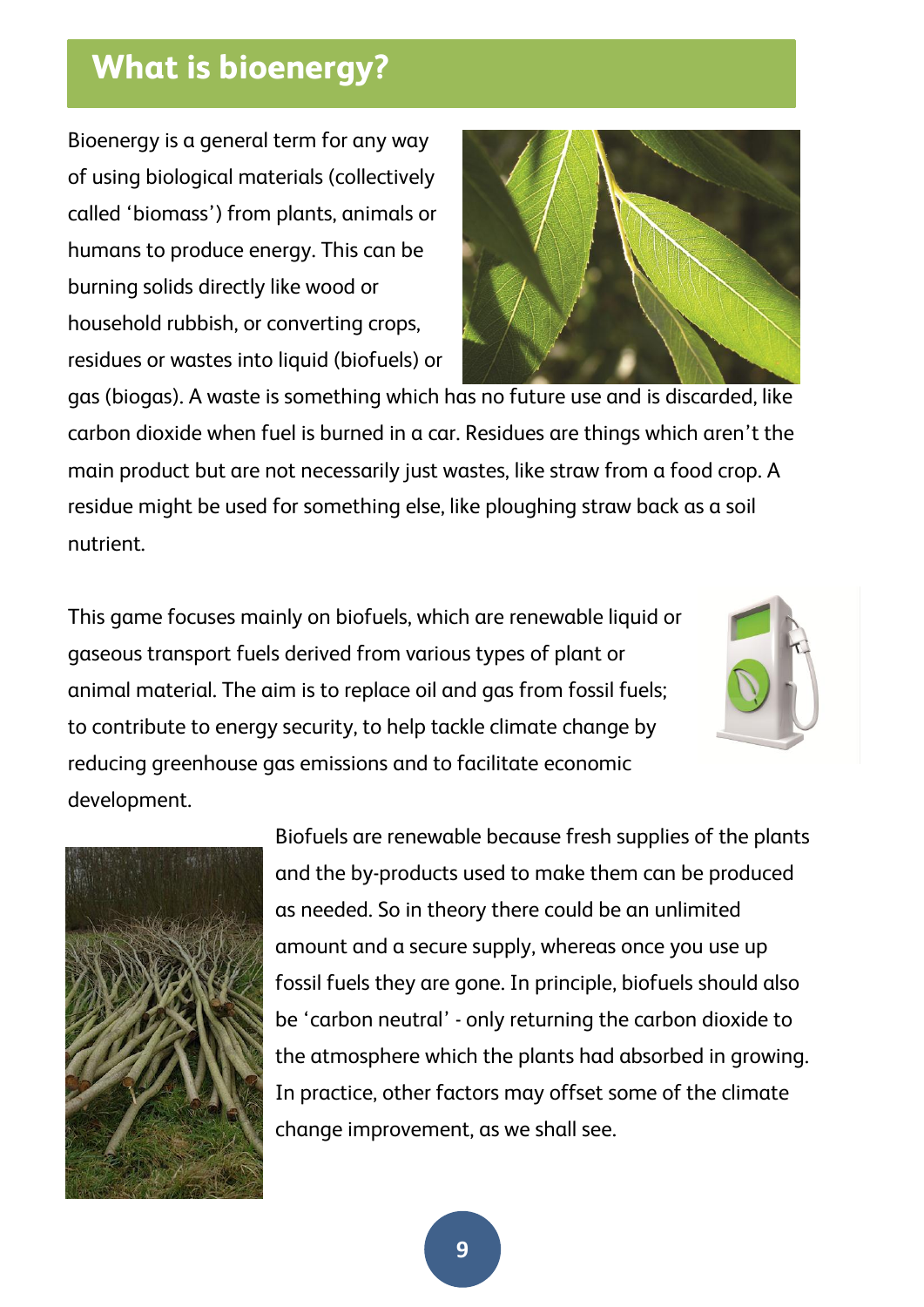# **What is bioenergy?**

Bioenergy is a general term for any way of using biological materials (collectively called 'biomass') from plants, animals or humans to produce energy. This can be burning solids directly like wood or household rubbish, or converting crops, residues or wastes into liquid (biofuels) or



gas (biogas). A waste is something which has no future use and is discarded, like carbon dioxide when fuel is burned in a car. Residues are things which aren't the main product but are not necessarily just wastes, like straw from a food crop. A residue might be used for something else, like ploughing straw back as a soil nutrient.

This game focuses mainly on biofuels, which are renewable liquid or gaseous transport fuels derived from various types of plant or animal material. The aim is to replace oil and gas from fossil fuels; to contribute to energy security, to help tackle climate change by reducing greenhouse gas emissions and to facilitate economic development.





Biofuels are renewable because fresh supplies of the plants and the by-products used to make them can be produced as needed. So in theory there could be an unlimited amount and a secure supply, whereas once you use up fossil fuels they are gone. In principle, biofuels should also be 'carbon neutral' - only returning the carbon dioxide to the atmosphere which the plants had absorbed in growing. In practice, other factors may offset some of the climate change improvement, as we shall see.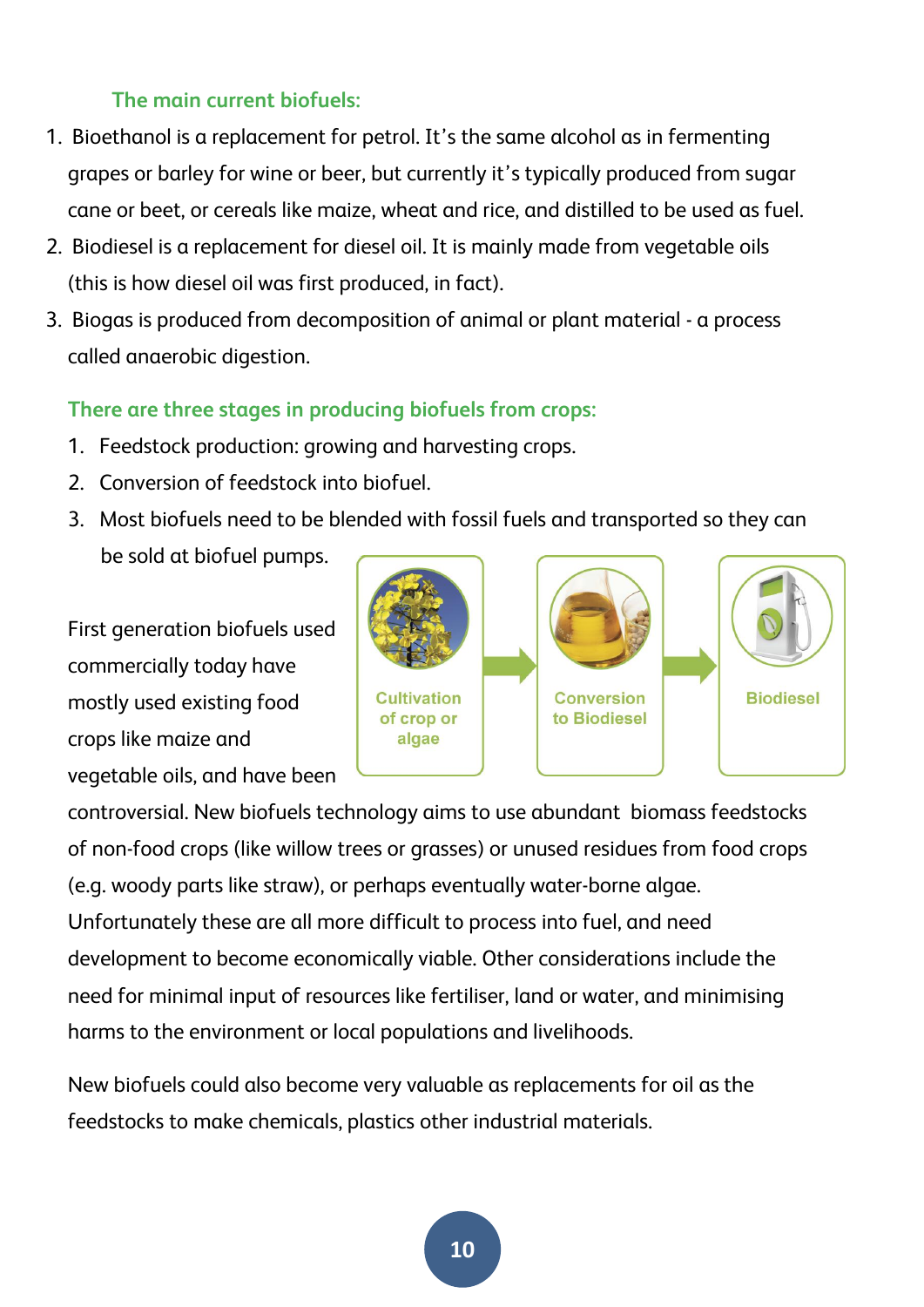### **The main current biofuels:**

- 1. Bioethanol is a replacement for petrol. It's the same alcohol as in fermenting grapes or barley for wine or beer, but currently it's typically produced from sugar cane or beet, or cereals like maize, wheat and rice, and distilled to be used as fuel.
- 2. Biodiesel is a replacement for diesel oil. It is mainly made from vegetable oils (this is how diesel oil was first produced, in fact).
- 3. Biogas is produced from decomposition of animal or plant material a process called anaerobic digestion.

### **There are three stages in producing biofuels from crops:**

- 1. Feedstock production: growing and harvesting crops.
- 2. Conversion of feedstock into biofuel.
- 3. Most biofuels need to be blended with fossil fuels and transported so they can be sold at biofuel pumps.

First generation biofuels used commercially today have mostly used existing food crops like maize and vegetable oils, and have been



controversial. New biofuels technology aims to use abundant biomass feedstocks of non-food crops (like willow trees or grasses) or unused residues from food crops (e.g. woody parts like straw), or perhaps eventually water-borne algae. Unfortunately these are all more difficult to process into fuel, and need development to become economically viable. Other considerations include the need for minimal input of resources like fertiliser, land or water, and minimising harms to the environment or local populations and livelihoods.

New biofuels could also become very valuable as replacements for oil as the feedstocks to make chemicals, plastics other industrial materials.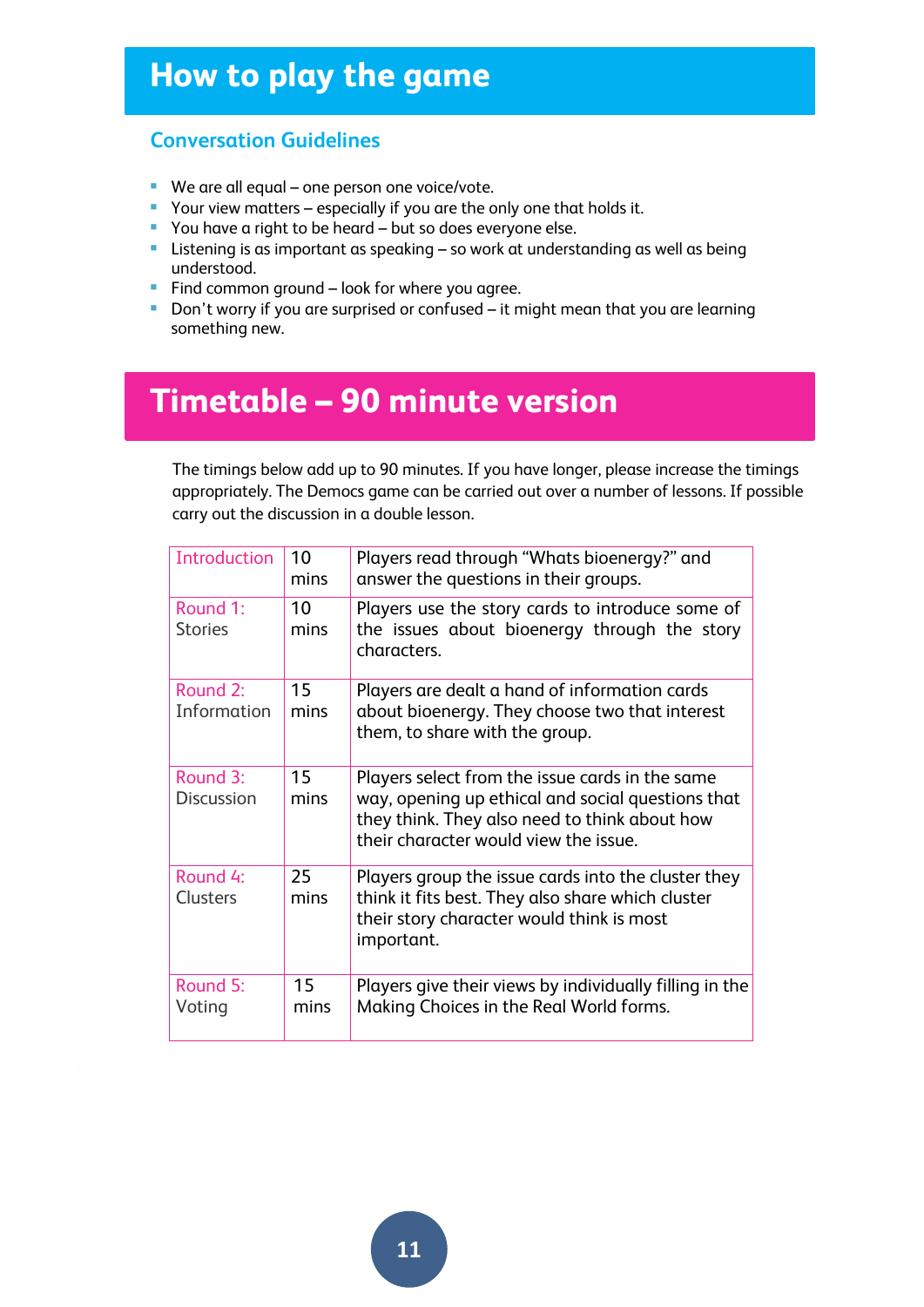# **How to play the game**

#### **Conversation Guidelines**

- We are all equal one person one voice/vote.
- Your view matters especially if you are the only one that holds it.
- You have a right to be heard but so does everyone else.
- **EXTER 15 Instening is as important as speaking so work at understanding as well as being** understood.
- Find common ground  $-$  look for where you agree.
- Don't worry if you are surprised or confused it might mean that you are learning something new.

# **Timetable – 90 minute version**

The timings below add up to 90 minutes. If you have longer, please increase the timings appropriately. The Democs game can be carried out over a number of lessons. If possible carry out the discussion in a double lesson.

| Introduction                  | 10<br>mins | Players read through "Whats bioenergy?" and<br>answer the questions in their groups.                                                                                                           |
|-------------------------------|------------|------------------------------------------------------------------------------------------------------------------------------------------------------------------------------------------------|
| Round 1:<br><b>Stories</b>    | 10<br>mins | Players use the story cards to introduce some of<br>the issues about bioenergy through the story<br>characters.                                                                                |
| Round 2:<br>Information       | 15<br>mins | Players are dealt a hand of information cards<br>about bioenergy. They choose two that interest<br>them, to share with the group.                                                              |
| Round 3:<br><b>Discussion</b> | 15<br>mins | Players select from the issue cards in the same<br>way, opening up ethical and social questions that<br>they think. They also need to think about how<br>their character would view the issue. |
| Round 4:<br><b>Clusters</b>   | 25<br>mins | Players group the issue cards into the cluster they<br>think it fits best. They also share which cluster<br>their story character would think is most<br>important.                            |
| Round 5:<br>Voting            | 15<br>mins | Players give their views by individually filling in the<br>Making Choices in the Real World forms.                                                                                             |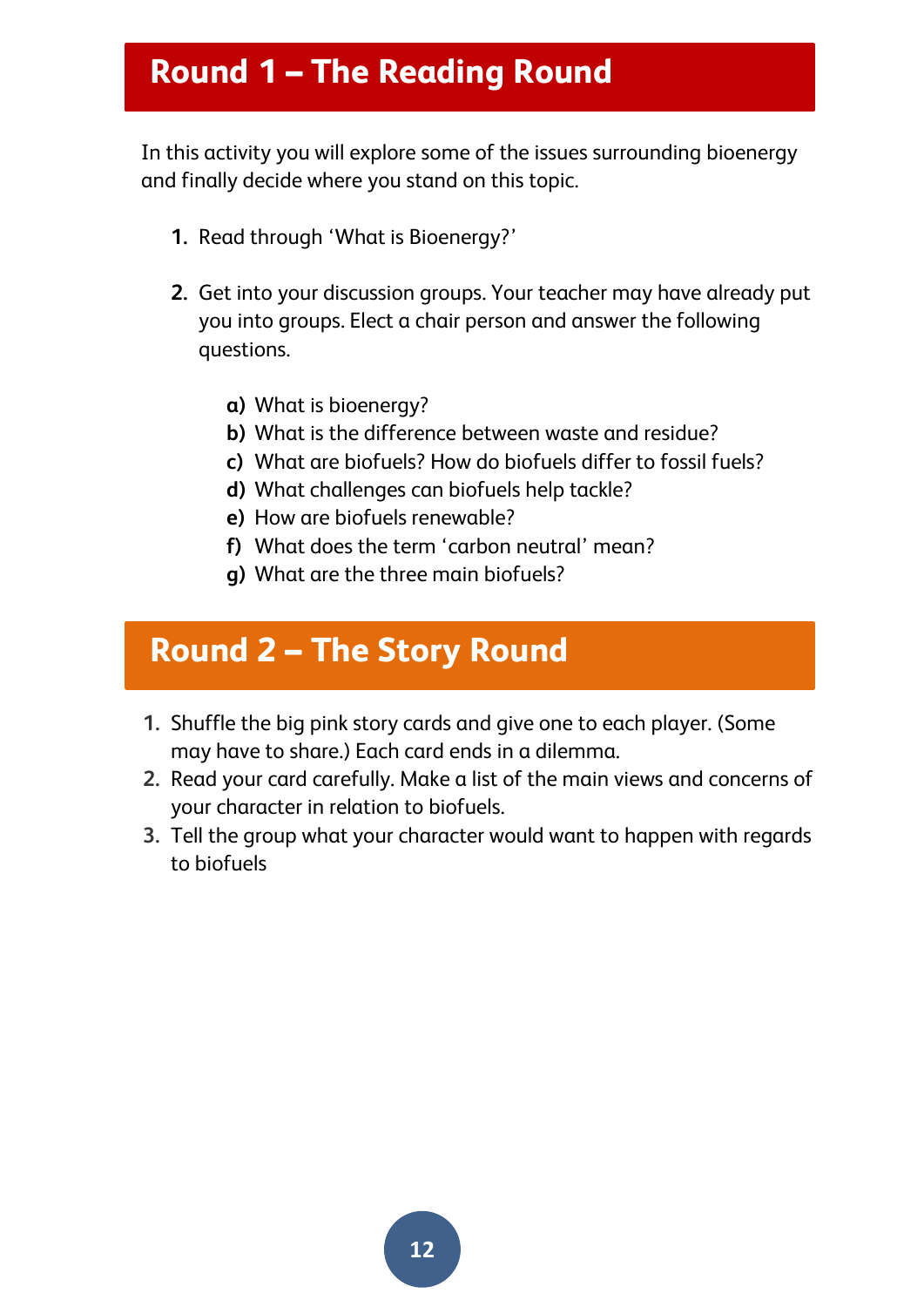# **Round 1 – The Reading Round**

In this activity you will explore some of the issues surrounding bioenergy and finally decide where you stand on this topic.

- **1.** Read through 'What is Bioenergy?'
- **2.** Get into your discussion groups. Your teacher may have already put you into groups. Elect a chair person and answer the following questions.
	- **a)** What is bioenergy?
	- **b)** What is the difference between waste and residue?
	- **c)** What are biofuels? How do biofuels differ to fossil fuels?
	- **d)** What challenges can biofuels help tackle?
	- **e)** How are biofuels renewable?
	- **f)** What does the term 'carbon neutral' mean?
	- **g)** What are the three main biofuels?

# **Round 2 – The Story Round**

- **1.** Shuffle the big pink story cards and give one to each player. (Some may have to share.) Each card ends in a dilemma.
- **2.** Read your card carefully. Make a list of the main views and concerns of your character in relation to biofuels.
- **3.** Tell the group what your character would want to happen with regards to biofuels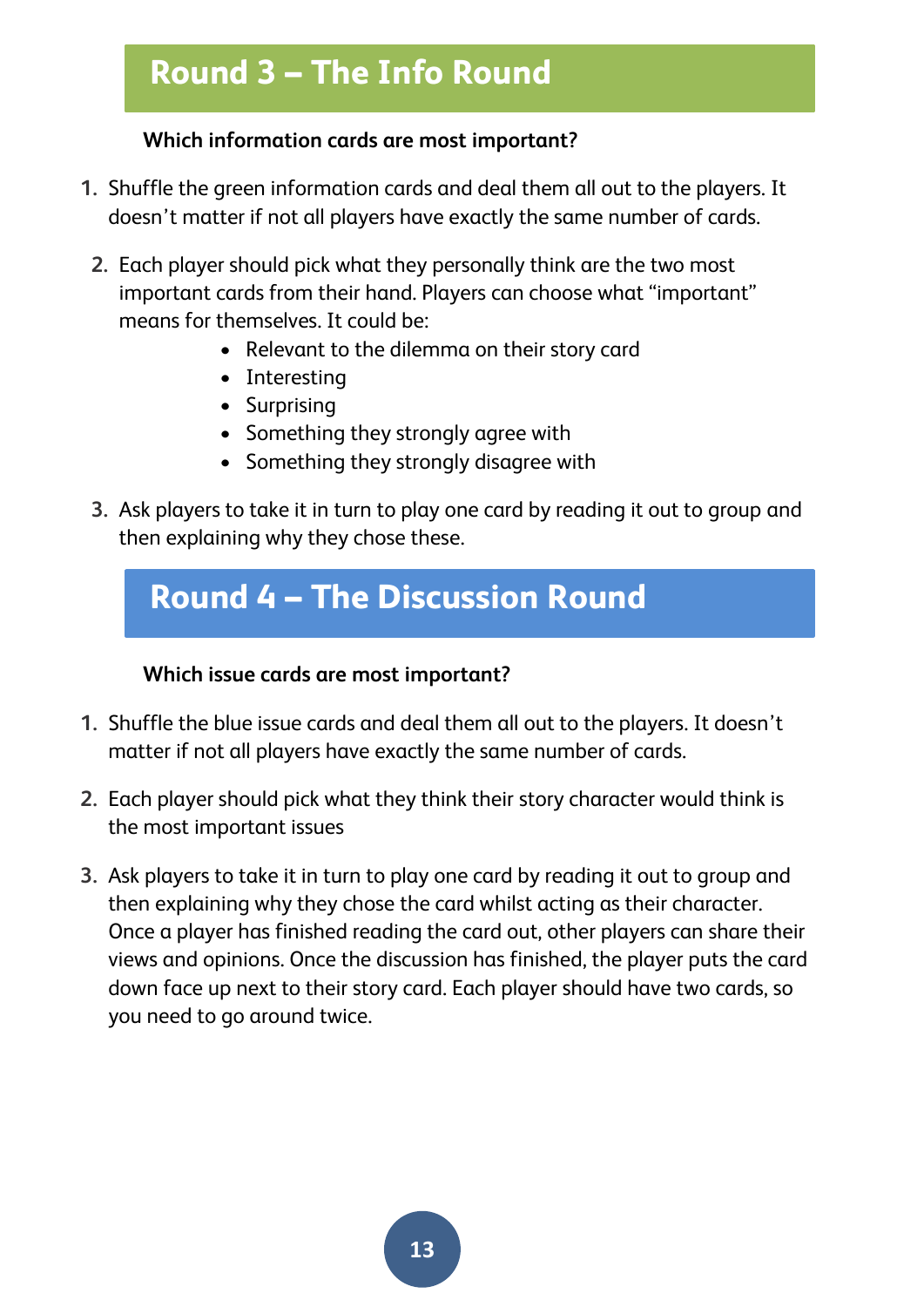# **Round 3 – The Info Round**

### **Which information cards are most important?**

- **1.** Shuffle the green information cards and deal them all out to the players. It doesn't matter if not all players have exactly the same number of cards.
- **2.** Each player should pick what they personally think are the two most important cards from their hand. Players can choose what "important" means for themselves. It could be:
	- Relevant to the dilemma on their story card
	- Interesting
	- Surprising
	- Something they strongly agree with
	- Something they strongly disagree with
- **3.** Ask players to take it in turn to play one card by reading it out to group and then explaining why they chose these.



### **Which issue cards are most important?**

- **1.** Shuffle the blue issue cards and deal them all out to the players. It doesn't matter if not all players have exactly the same number of cards.
- **2.** Each player should pick what they think their story character would think is the most important issues
- **3.** Ask players to take it in turn to play one card by reading it out to group and then explaining why they chose the card whilst acting as their character. Once a player has finished reading the card out, other players can share their views and opinions. Once the discussion has finished, the player puts the card down face up next to their story card. Each player should have two cards, so you need to go around twice.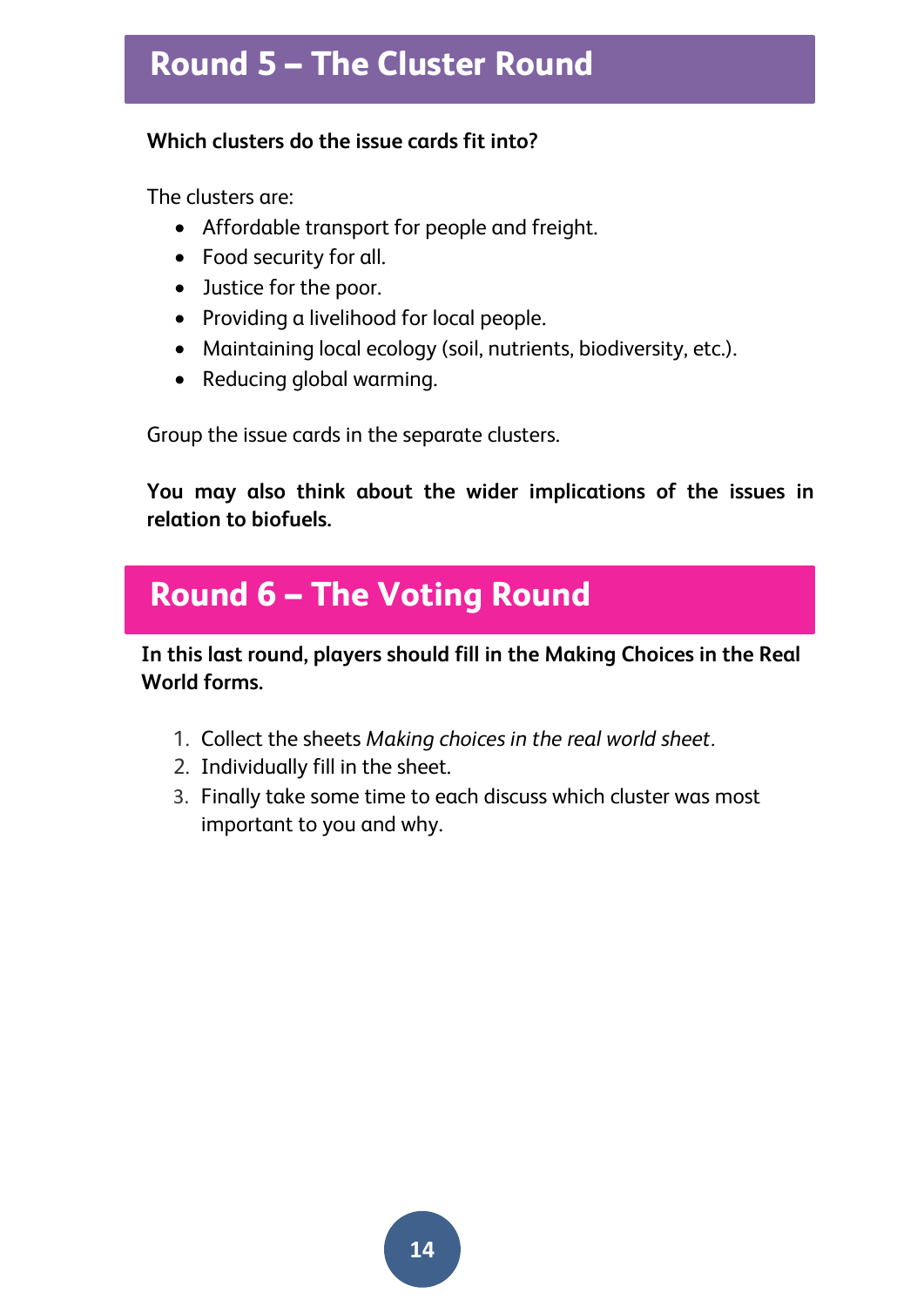# **Round 5 – The Cluster Round**

### **Which clusters do the issue cards fit into?**

The clusters are:

- Affordable transport for people and freight.
- Food security for all.
- Justice for the poor.
- Providing a livelihood for local people.
- Maintaining local ecology (soil, nutrients, biodiversity, etc.).
- Reducing global warming.

Group the issue cards in the separate clusters.

**You may also think about the wider implications of the issues in relation to biofuels.** 

# **Round 6 – The Voting Round**

**In this last round, players should fill in the Making Choices in the Real World forms.** 

- 1. Collect the sheets *Making choices in the real world sheet.*
- 2. Individually fill in the sheet.
- 3. Finally take some time to each discuss which cluster was most important to you and why.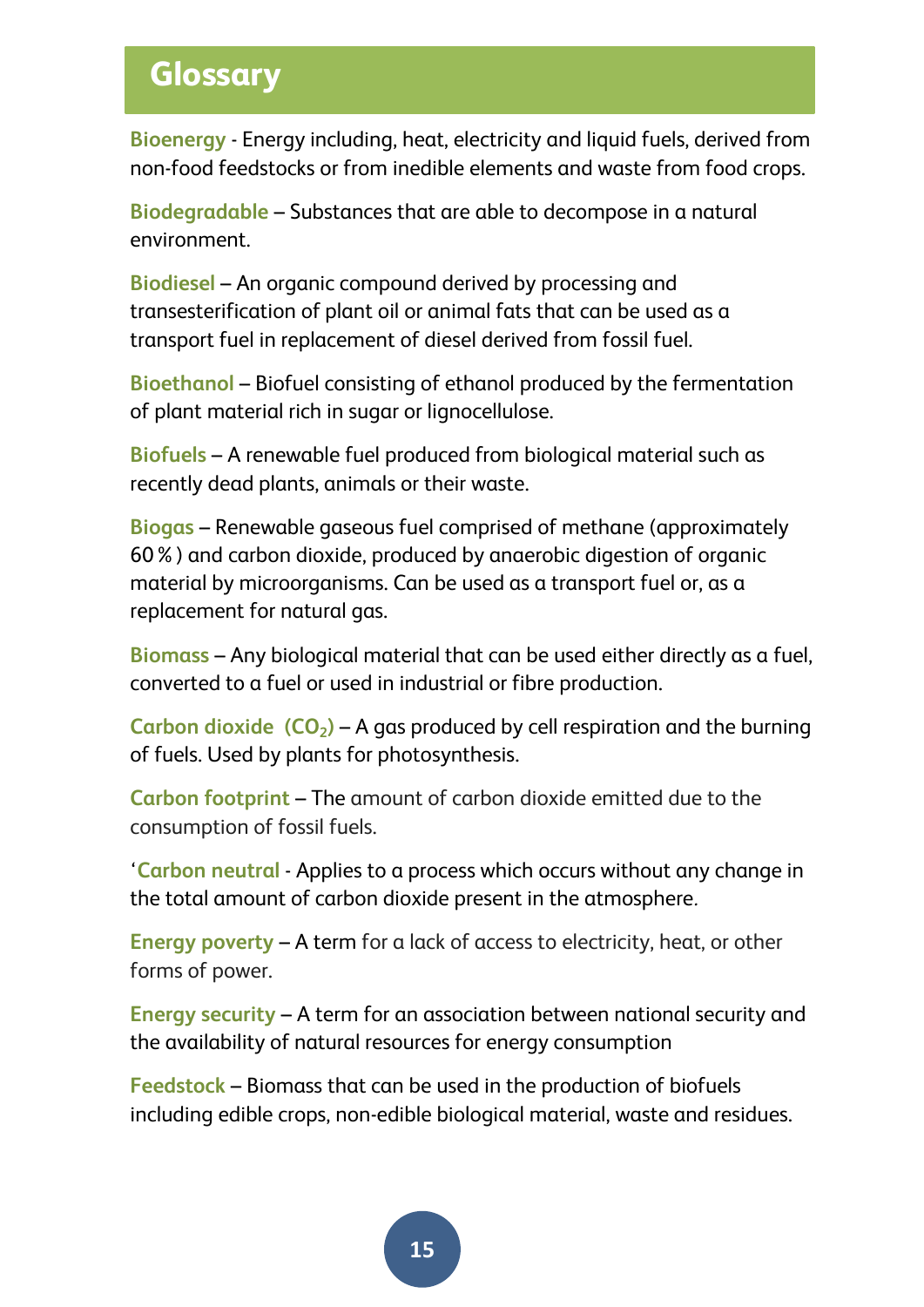# **Glossary**

**Bioenergy** - Energy including, heat, electricity and liquid fuels, derived from non-food feedstocks or from inedible elements and waste from food crops.

**Biodegradable** – Substances that are able to [decompose](http://www.biology-online.org/dictionary/Decompose) in a [natural](http://www.biology-online.org/dictionary/Natural) [environment.](http://www.biology-online.org/dictionary/Environment)

**Biodiesel** – An organic compound derived by processing and transesterification of plant oil or animal fats that can be used as a transport fuel in replacement of diesel derived from fossil fuel.

**Bioethanol** – Biofuel consisting of ethanol produced by the fermentation of plant material rich in sugar or lignocellulose.

**Biofuels** – A renewable fuel produced from biological material such as recently dead plants, animals or their waste.

**Biogas** – Renewable gaseous fuel comprised of methane (approximately 60%) and carbon dioxide, produced by anaerobic digestion of organic material by microorganisms. Can be used as a transport fuel or, as a replacement for natural gas.

**Biomass** – Any biological material that can be used either directly as a fuel, converted to a fuel or used in industrial or fibre production.

**Carbon dioxide (CO2)** – A gas produced by cell respiration and the burning of fuels. Used by plants for photosynthesis.

**Carbon footprint** – The amount of carbon dioxide emitted due to the consumption of fossil fuels.

'**Carbon neutral** - Applies to a process which occurs without any change in the total amount of carbon dioxide present in the atmosphere*.*

**Energy poverty** – A term for a lack of access to electricity, heat, or other forms of power.

**Energy security** – A term for an association between national security and the availability of natural resources for energy consumption

**Feedstock** – Biomass that can be used in the production of biofuels including edible crops, non-edible biological material, waste and residues.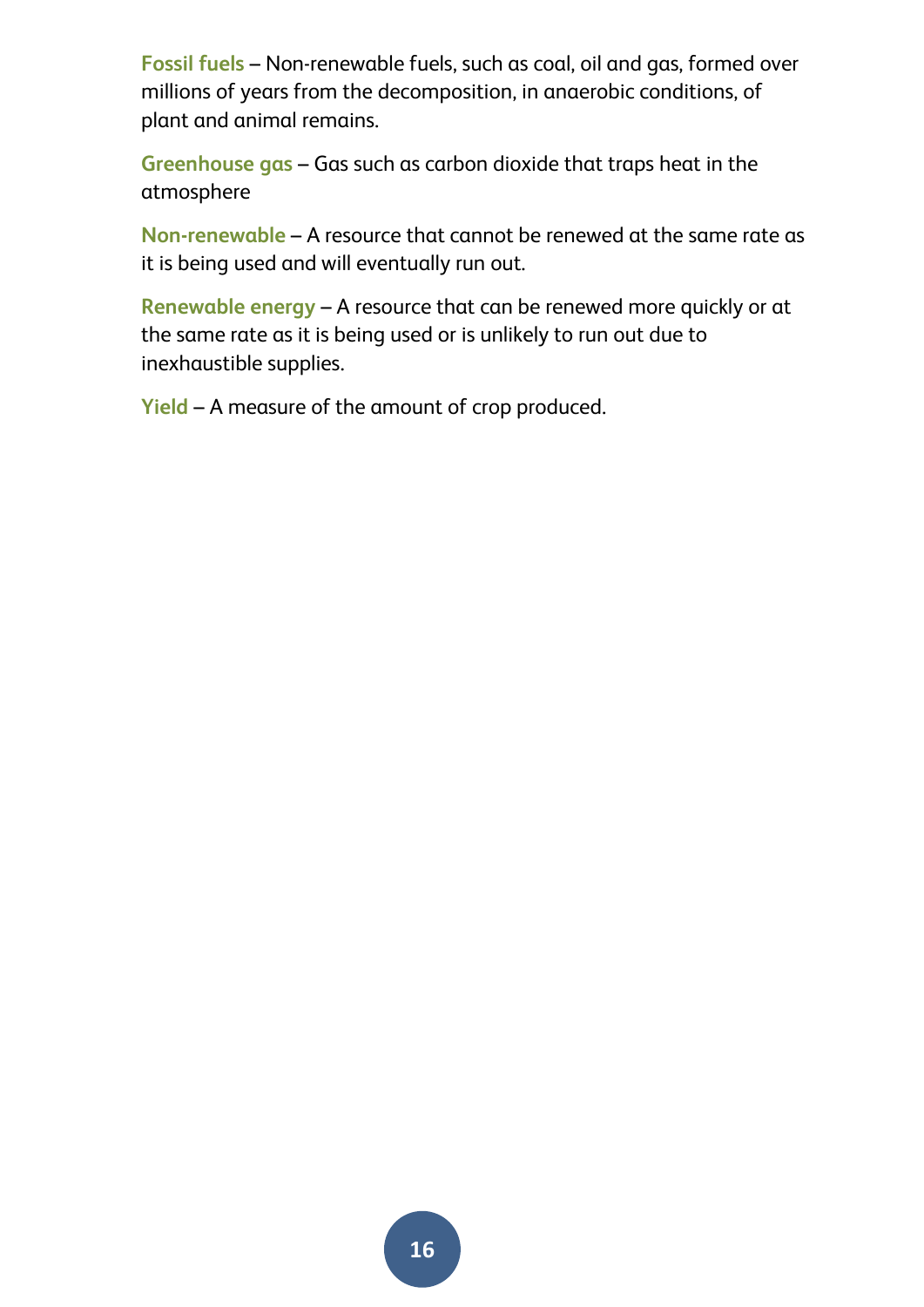**Fossil fuels** – Non-renewable fuels, such as coal, oil and gas, formed over millions of years from the decomposition, in anaerobic conditions, of plant and animal remains.

**Greenhouse gas** – Gas such as carbon dioxide that traps heat in the atmosphere

**Non-renewable** – A resource that cannot be renewed at the same rate as it is being used and will eventually run out.

**Renewable energy** – A resource that can be renewed more quickly or at the same rate as it is being used or is unlikely to run out due to inexhaustible supplies.

**Yield** – A measure of the amount of crop produced.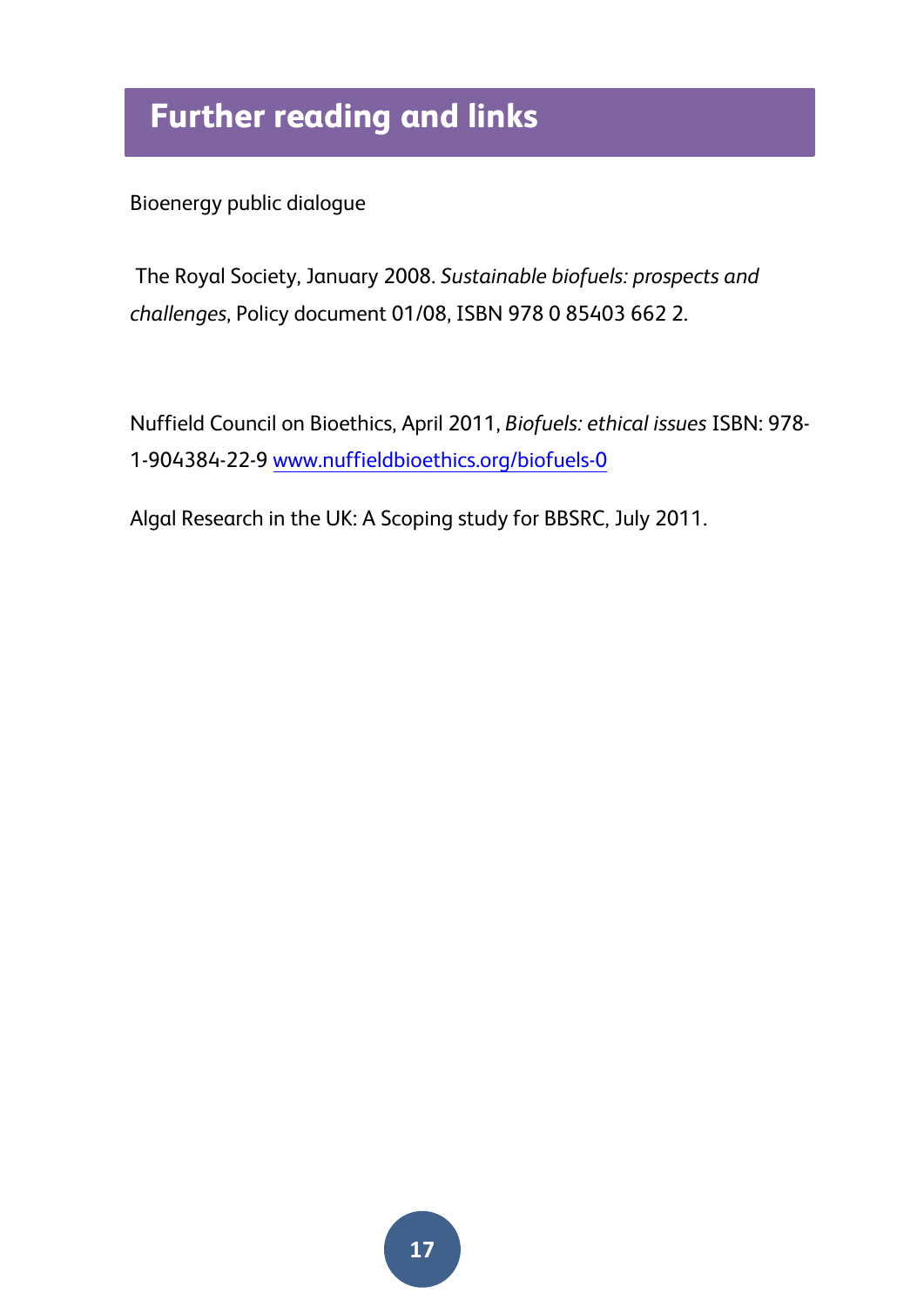# **Further reading and links**

Bioenergy public dialogue

The Royal Society, January 2008. *Sustainable biofuels: prospects and challenges*, Policy document 01/08, ISBN 978 0 85403 662 2.

Nuffield Council on Bioethics, April 2011, *Biofuels: ethical issues* ISBN: 978- 1-904384-22-9 [www.nuffieldbioethics.org/biofuels-0](http://www.nuffieldbioethics.org/biofuels-0)

Algal Research in the UK: A Scoping study for BBSRC, July 2011.